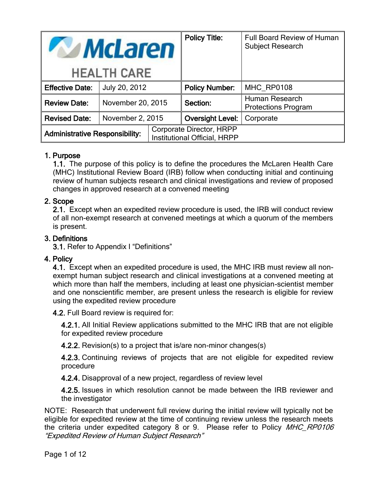| <b>McLaren</b>                        |                   |                                                                 | <b>Policy Title:</b>    | <b>Full Board Review of Human</b><br><b>Subject Research</b> |
|---------------------------------------|-------------------|-----------------------------------------------------------------|-------------------------|--------------------------------------------------------------|
| <b>HEALTH CARE</b>                    |                   |                                                                 |                         |                                                              |
| <b>Effective Date:</b>                | July 20, 2012     |                                                                 | <b>Policy Number:</b>   | MHC RP0108                                                   |
| <b>Review Date:</b>                   | November 20, 2015 |                                                                 | Section:                | Human Research<br><b>Protections Program</b>                 |
| <b>Revised Date:</b>                  | November 2, 2015  |                                                                 | <b>Oversight Level:</b> | Corporate                                                    |
| <b>Administrative Responsibility:</b> |                   | Corporate Director, HRPP<br><b>Institutional Official, HRPP</b> |                         |                                                              |

# 1. Purpose

1.1. The purpose of this policy is to define the procedures the McLaren Health Care (MHC) Institutional Review Board (IRB) follow when conducting initial and continuing review of human subjects research and clinical investigations and review of proposed changes in approved research at a convened meeting

### 2. Scope

2.1. Except when an expedited review procedure is used, the IRB will conduct review of all non-exempt research at convened meetings at which a quorum of the members is present.

### 3. Definitions

3.1. Refer to Appendix I "Definitions"

#### 4. Policy

4.1. Except when an expedited procedure is used, the MHC IRB must review all nonexempt human subject research and clinical investigations at a convened meeting at which more than half the members, including at least one physician-scientist member and one nonscientific member, are present unless the research is eligible for review using the expedited review procedure

4.2. Full Board review is required for:

4.2.1. All Initial Review applications submitted to the MHC IRB that are not eligible for expedited review procedure

4.2.2. Revision(s) to a project that is/are non-minor changes(s)

4.2.3. Continuing reviews of projects that are not eligible for expedited review procedure

4.2.4. Disapproval of a new project, regardless of review level

4.2.5. Issues in which resolution cannot be made between the IRB reviewer and the investigator

NOTE: Research that underwent full review during the initial review will typically not be eligible for expedited review at the time of continuing review unless the research meets the criteria under expedited category 8 or 9. Please refer to Policy MHC\_RP0106 "Expedited Review of Human Subject Research"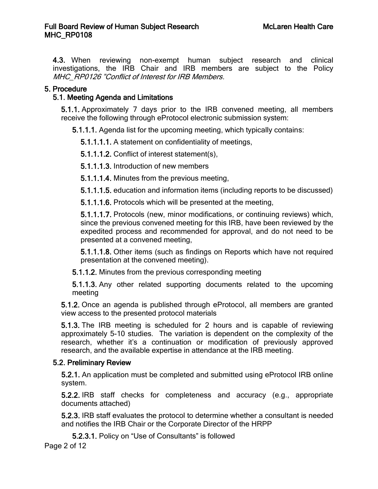4.3. When reviewing non-exempt human subject research and clinical investigations, the IRB Chair and IRB members are subject to the Policy MHC\_RP0126 "Conflict of Interest for IRB Members.

### 5. Procedure

## 5.1. Meeting Agenda and Limitations

5.1.1. Approximately 7 days prior to the IRB convened meeting, all members receive the following through eProtocol electronic submission system:

5.1.1.1. Agenda list for the upcoming meeting, which typically contains:

5.1.1.1.1. A statement on confidentiality of meetings,

5.1.1.1.2. Conflict of interest statement(s),

5.1.1.1.3. Introduction of new members

5.1.1.1.4. Minutes from the previous meeting,

5.1.1.1.5. education and information items (including reports to be discussed)

5.1.1.1.6. Protocols which will be presented at the meeting,

5.1.1.1.7. Protocols (new, minor modifications, or continuing reviews) which, since the previous convened meeting for this IRB, have been reviewed by the expedited process and recommended for approval, and do not need to be presented at a convened meeting,

5.1.1.1.8. Other items (such as findings on Reports which have not required presentation at the convened meeting).

5.1.1.2. Minutes from the previous corresponding meeting

5.1.1.3. Any other related supporting documents related to the upcoming meeting

5.1.2. Once an agenda is published through eProtocol, all members are granted view access to the presented protocol materials

5.1.3. The IRB meeting is scheduled for 2 hours and is capable of reviewing approximately 5-10 studies. The variation is dependent on the complexity of the research, whether it's a continuation or modification of previously approved research, and the available expertise in attendance at the IRB meeting.

# 5.2. Preliminary Review

5.2.1. An application must be completed and submitted using eProtocol IRB online system.

5.2.2. IRB staff checks for completeness and accuracy (e.g., appropriate documents attached)

5.2.3. IRB staff evaluates the protocol to determine whether a consultant is needed and notifies the IRB Chair or the Corporate Director of the HRPP

5.2.3.1. Policy on "Use of Consultants" is followed

Page 2 of 12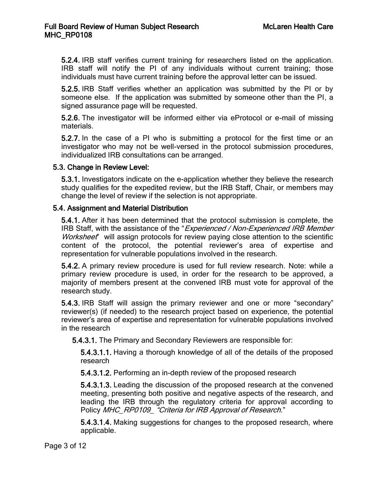5.2.4. IRB staff verifies current training for researchers listed on the application. IRB staff will notify the PI of any individuals without current training; those individuals must have current training before the approval letter can be issued.

5.2.5. IRB Staff verifies whether an application was submitted by the PI or by someone else. If the application was submitted by someone other than the PI, a signed assurance page will be requested.

5.2.6. The investigator will be informed either via eProtocol or e-mail of missing materials.

5.2.7. In the case of a PI who is submitting a protocol for the first time or an investigator who may not be well-versed in the protocol submission procedures, individualized IRB consultations can be arranged.

#### 5.3. Change in Review Level:

5.3.1. Investigators indicate on the e-application whether they believe the research study qualifies for the expedited review, but the IRB Staff, Chair, or members may change the level of review if the selection is not appropriate.

#### 5.4. Assignment and Material Distribution

5.4.1. After it has been determined that the protocol submission is complete, the IRB Staff, with the assistance of the "Experienced / Non-Experienced IRB Member Worksheet" will assign protocols for review paying close attention to the scientific content of the protocol, the potential reviewer's area of expertise and representation for vulnerable populations involved in the research.

5.4.2. A primary review procedure is used for full review research. Note: while a primary review procedure is used, in order for the research to be approved, a majority of members present at the convened IRB must vote for approval of the research study.

5.4.3. IRB Staff will assign the primary reviewer and one or more "secondary" reviewer(s) (if needed) to the research project based on experience, the potential reviewer's area of expertise and representation for vulnerable populations involved in the research

5.4.3.1. The Primary and Secondary Reviewers are responsible for:

5.4.3.1.1. Having a thorough knowledge of all of the details of the proposed research

5.4.3.1.2. Performing an in-depth review of the proposed research

5.4.3.1.3. Leading the discussion of the proposed research at the convened meeting, presenting both positive and negative aspects of the research, and leading the IRB through the regulatory criteria for approval according to Policy MHC\_RP0109\_ "Criteria for IRB Approval of Research."

5.4.3.1.4. Making suggestions for changes to the proposed research, where applicable.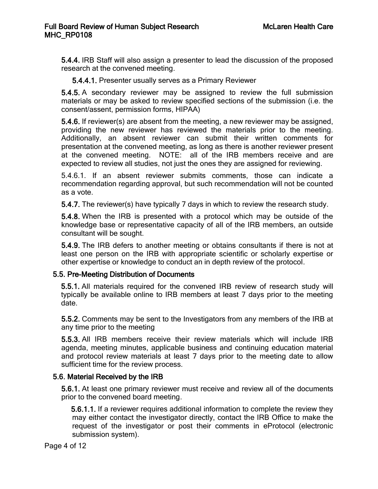5.4.4. IRB Staff will also assign a presenter to lead the discussion of the proposed research at the convened meeting.

5.4.4.1. Presenter usually serves as a Primary Reviewer

5.4.5. A secondary reviewer may be assigned to review the full submission materials or may be asked to review specified sections of the submission (i.e. the consent/assent, permission forms, HIPAA)

5.4.6. If reviewer(s) are absent from the meeting, a new reviewer may be assigned, providing the new reviewer has reviewed the materials prior to the meeting. Additionally, an absent reviewer can submit their written comments for presentation at the convened meeting, as long as there is another reviewer present at the convened meeting. NOTE: all of the IRB members receive and are expected to review all studies, not just the ones they are assigned for reviewing.

5.4.6.1. If an absent reviewer submits comments, those can indicate a recommendation regarding approval, but such recommendation will not be counted as a vote.

5.4.7. The reviewer(s) have typically 7 days in which to review the research study.

5.4.8. When the IRB is presented with a protocol which may be outside of the knowledge base or representative capacity of all of the IRB members, an outside consultant will be sought.

5.4.9. The IRB defers to another meeting or obtains consultants if there is not at least one person on the IRB with appropriate scientific or scholarly expertise or other expertise or knowledge to conduct an in depth review of the protocol.

#### 5.5. Pre-Meeting Distribution of Documents

5.5.1. All materials required for the convened IRB review of research study will typically be available online to IRB members at least 7 days prior to the meeting date.

5.5.2. Comments may be sent to the Investigators from any members of the IRB at any time prior to the meeting

5.5.3. All IRB members receive their review materials which will include IRB agenda, meeting minutes, applicable business and continuing education material and protocol review materials at least 7 days prior to the meeting date to allow sufficient time for the review process.

#### 5.6. Material Received by the IRB

5.6.1. At least one primary reviewer must receive and review all of the documents prior to the convened board meeting.

5.6.1.1. If a reviewer requires additional information to complete the review they may either contact the investigator directly, contact the IRB Office to make the request of the investigator or post their comments in eProtocol (electronic submission system).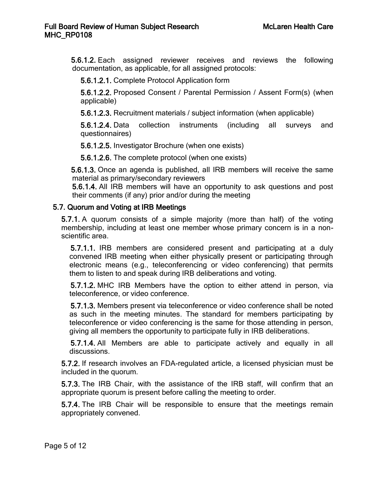5.6.1.2. Each assigned reviewer receives and reviews the following documentation, as applicable, for all assigned protocols:

5.6.1.2.1. Complete Protocol Application form

5.6.1.2.2. Proposed Consent / Parental Permission / Assent Form(s) (when applicable)

5.6.1.2.3. Recruitment materials / subject information (when applicable)

5.6.1.2.4. Data collection instruments (including all surveys and questionnaires)

5.6.1.2.5. Investigator Brochure (when one exists)

5.6.1.2.6. The complete protocol (when one exists)

5.6.1.3. Once an agenda is published, all IRB members will receive the same material as primary/secondary reviewers

5.6.1.4. All IRB members will have an opportunity to ask questions and post their comments (if any) prior and/or during the meeting

#### 5.7. Quorum and Voting at IRB Meetings

5.7.1. A quorum consists of a simple majority (more than half) of the voting membership, including at least one member whose primary concern is in a nonscientific area.

5.7.1.1. IRB members are considered present and participating at a duly convened IRB meeting when either physically present or participating through electronic means (e.g., teleconferencing or video conferencing) that permits them to listen to and speak during IRB deliberations and voting.

5.7.1.2. MHC IRB Members have the option to either attend in person, via teleconference, or video conference.

5.7.1.3. Members present via teleconference or video conference shall be noted as such in the meeting minutes. The standard for members participating by teleconference or video conferencing is the same for those attending in person, giving all members the opportunity to participate fully in IRB deliberations.

5.7.1.4. All Members are able to participate actively and equally in all discussions.

5.7.2. If research involves an FDA-regulated article, a licensed physician must be included in the quorum.

5.7.3. The IRB Chair, with the assistance of the IRB staff, will confirm that an appropriate quorum is present before calling the meeting to order.

5.7.4. The IRB Chair will be responsible to ensure that the meetings remain appropriately convened.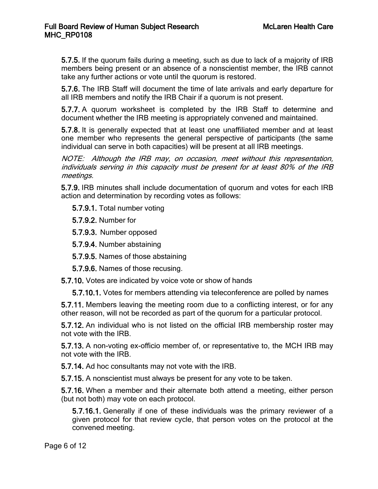5.7.5. If the quorum fails during a meeting, such as due to lack of a majority of IRB members being present or an absence of a nonscientist member, the IRB cannot take any further actions or vote until the quorum is restored.

5.7.6. The IRB Staff will document the time of late arrivals and early departure for all IRB members and notify the IRB Chair if a quorum is not present.

5.7.7. A quorum worksheet is completed by the IRB Staff to determine and document whether the IRB meeting is appropriately convened and maintained.

5.7.8. It is generally expected that at least one unaffiliated member and at least one member who represents the general perspective of participants (the same individual can serve in both capacities) will be present at all IRB meetings.

NOTE: Although the IRB may, on occasion, meet without this representation, individuals serving in this capacity must be present for at least 80% of the IRB meetings.

5.7.9. IRB minutes shall include documentation of quorum and votes for each IRB action and determination by recording votes as follows:

5.7.9.1. Total number voting

5.7.9.2. Number for

5.7.9.3. Number opposed

5.7.9.4. Number abstaining

5.7.9.5. Names of those abstaining

5.7.9.6. Names of those recusing.

5.7.10. Votes are indicated by voice vote or show of hands

5.7.10.1. Votes for members attending via teleconference are polled by names

5.7.11. Members leaving the meeting room due to a conflicting interest, or for any other reason, will not be recorded as part of the quorum for a particular protocol.

5.7.12. An individual who is not listed on the official IRB membership roster may not vote with the IRB.

5.7.13. A non-voting ex-officio member of, or representative to, the MCH IRB may not vote with the IRB.

5.7.14. Ad hoc consultants may not vote with the IRB.

5.7.15. A nonscientist must always be present for any vote to be taken.

5.7.16. When a member and their alternate both attend a meeting, either person (but not both) may vote on each protocol.

5.7.16.1. Generally if one of these individuals was the primary reviewer of a given protocol for that review cycle, that person votes on the protocol at the convened meeting.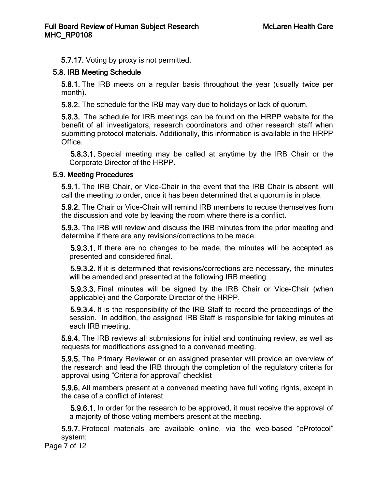5.7.17. Voting by proxy is not permitted.

# 5.8. IRB Meeting Schedule

5.8.1. The IRB meets on a regular basis throughout the year (usually twice per month).

5.8.2. The schedule for the IRB may vary due to holidays or lack of quorum.

5.8.3. The schedule for IRB meetings can be found on the HRPP website for the benefit of all investigators, research coordinators and other research staff when submitting protocol materials. Additionally, this information is available in the HRPP Office.

5.8.3.1. Special meeting may be called at anytime by the IRB Chair or the Corporate Director of the HRPP.

# 5.9. Meeting Procedures

5.9.1. The IRB Chair, or Vice-Chair in the event that the IRB Chair is absent, will call the meeting to order, once it has been determined that a quorum is in place.

5.9.2. The Chair or Vice-Chair will remind IRB members to recuse themselves from the discussion and vote by leaving the room where there is a conflict.

5.9.3. The IRB will review and discuss the IRB minutes from the prior meeting and determine if there are any revisions/corrections to be made.

5.9.3.1. If there are no changes to be made, the minutes will be accepted as presented and considered final.

5.9.3.2. If it is determined that revisions/corrections are necessary, the minutes will be amended and presented at the following IRB meeting.

5.9.3.3. Final minutes will be signed by the IRB Chair or Vice-Chair (when applicable) and the Corporate Director of the HRPP.

5.9.3.4. It is the responsibility of the IRB Staff to record the proceedings of the session. In addition, the assigned IRB Staff is responsible for taking minutes at each IRB meeting.

5.9.4. The IRB reviews all submissions for initial and continuing review, as well as requests for modifications assigned to a convened meeting.

5.9.5. The Primary Reviewer or an assigned presenter will provide an overview of the research and lead the IRB through the completion of the regulatory criteria for approval using "Criteria for approval" checklist

5.9.6. All members present at a convened meeting have full voting rights, except in the case of a conflict of interest.

5.9.6.1. In order for the research to be approved, it must receive the approval of a majority of those voting members present at the meeting.

5.9.7. Protocol materials are available online, via the web-based "eProtocol" system:

Page 7 of 12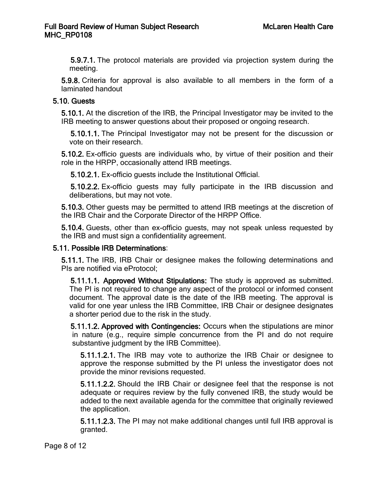5.9.7.1. The protocol materials are provided via projection system during the meeting.

5.9.8. Criteria for approval is also available to all members in the form of a laminated handout

### 5.10. Guests

5.10.1. At the discretion of the IRB, the Principal Investigator may be invited to the IRB meeting to answer questions about their proposed or ongoing research.

5.10.1.1. The Principal Investigator may not be present for the discussion or vote on their research.

5.10.2. Ex-officio guests are individuals who, by virtue of their position and their role in the HRPP, occasionally attend IRB meetings.

5.10.2.1. Ex-officio guests include the Institutional Official.

5.10.2.2. Ex-officio guests may fully participate in the IRB discussion and deliberations, but may not vote.

5.10.3. Other guests may be permitted to attend IRB meetings at the discretion of the IRB Chair and the Corporate Director of the HRPP Office.

5.10.4. Guests, other than ex-officio guests, may not speak unless requested by the IRB and must sign a confidentiality agreement.

### 5.11. Possible IRB Determinations:

5.11.1. The IRB, IRB Chair or designee makes the following determinations and PIs are notified via eProtocol;

5.11.1.1. Approved Without Stipulations: The study is approved as submitted. The PI is not required to change any aspect of the protocol or informed consent document. The approval date is the date of the IRB meeting. The approval is valid for one year unless the IRB Committee, IRB Chair or designee designates a shorter period due to the risk in the study.

5.11.1.2. Approved with Contingencies: Occurs when the stipulations are minor in nature (e.g., require simple concurrence from the PI and do not require substantive judgment by the IRB Committee).

5.11.1.2.1. The IRB may vote to authorize the IRB Chair or designee to approve the response submitted by the PI unless the investigator does not provide the minor revisions requested.

5.11.1.2.2. Should the IRB Chair or designee feel that the response is not adequate or requires review by the fully convened IRB, the study would be added to the next available agenda for the committee that originally reviewed the application.

5.11.1.2.3. The PI may not make additional changes until full IRB approval is granted.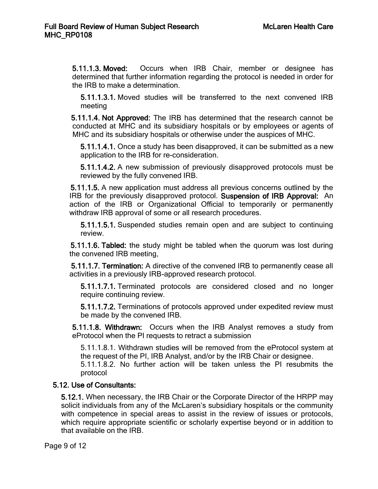5.11.1.3. Moved: Occurs when IRB Chair, member or designee has determined that further information regarding the protocol is needed in order for the IRB to make a determination.

5.11.1.3.1. Moved studies will be transferred to the next convened IRB meeting

5.11.1.4. Not Approved: The IRB has determined that the research cannot be conducted at MHC and its subsidiary hospitals or by employees or agents of MHC and its subsidiary hospitals or otherwise under the auspices of MHC.

5.11.1.4.1. Once a study has been disapproved, it can be submitted as a new application to the IRB for re-consideration.

5.11.1.4.2. A new submission of previously disapproved protocols must be reviewed by the fully convened IRB.

5.11.1.5. A new application must address all previous concerns outlined by the IRB for the previously disapproved protocol. Suspension of IRB Approval: An action of the IRB or Organizational Official to temporarily or permanently withdraw IRB approval of some or all research procedures.

5.11.1.5.1. Suspended studies remain open and are subject to continuing review.

5.11.1.6. Tabled: the study might be tabled when the quorum was lost during the convened IRB meeting,

5.11.1.7. Termination: A directive of the convened IRB to permanently cease all activities in a previously IRB-approved research protocol.

5.11.1.7.1. Terminated protocols are considered closed and no longer require continuing review.

5.11.1.7.2. Terminations of protocols approved under expedited review must be made by the convened IRB.

5.11.1.8. Withdrawn: Occurs when the IRB Analyst removes a study from eProtocol when the PI requests to retract a submission

5.11.1.8.1. Withdrawn studies will be removed from the eProtocol system at the request of the PI, IRB Analyst, and/or by the IRB Chair or designee.

5.11.1.8.2. No further action will be taken unless the PI resubmits the protocol

# 5.12. Use of Consultants:

5.12.1. When necessary, the IRB Chair or the Corporate Director of the HRPP may solicit individuals from any of the McLaren's subsidiary hospitals or the community with competence in special areas to assist in the review of issues or protocols, which require appropriate scientific or scholarly expertise beyond or in addition to that available on the IRB.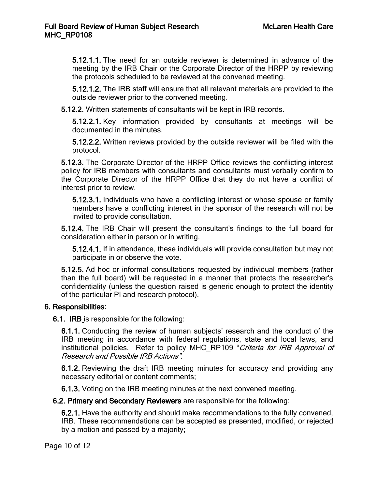5.12.1.1. The need for an outside reviewer is determined in advance of the meeting by the IRB Chair or the Corporate Director of the HRPP by reviewing the protocols scheduled to be reviewed at the convened meeting.

5.12.1.2. The IRB staff will ensure that all relevant materials are provided to the outside reviewer prior to the convened meeting.

5.12.2. Written statements of consultants will be kept in IRB records.

5.12.2.1. Key information provided by consultants at meetings will be documented in the minutes.

5.12.2.2. Written reviews provided by the outside reviewer will be filed with the protocol.

5.12.3. The Corporate Director of the HRPP Office reviews the conflicting interest policy for IRB members with consultants and consultants must verbally confirm to the Corporate Director of the HRPP Office that they do not have a conflict of interest prior to review.

5.12.3.1. Individuals who have a conflicting interest or whose spouse or family members have a conflicting interest in the sponsor of the research will not be invited to provide consultation.

5.12.4. The IRB Chair will present the consultant's findings to the full board for consideration either in person or in writing.

5.12.4.1. If in attendance, these individuals will provide consultation but may not participate in or observe the vote.

5.12.5. Ad hoc or informal consultations requested by individual members (rather than the full board) will be requested in a manner that protects the researcher's confidentiality (unless the question raised is generic enough to protect the identity of the particular PI and research protocol).

#### 6. Responsibilities:

6.1. IRB is responsible for the following:

6.1.1. Conducting the review of human subjects' research and the conduct of the IRB meeting in accordance with federal regulations, state and local laws, and institutional policies. Refer to policy MHC\_RP109 "Criteria for IRB Approval of Research and Possible IRB Actions".

6.1.2. Reviewing the draft IRB meeting minutes for accuracy and providing any necessary editorial or content comments;

6.1.3. Voting on the IRB meeting minutes at the next convened meeting.

6.2. Primary and Secondary Reviewers are responsible for the following:

6.2.1. Have the authority and should make recommendations to the fully convened, IRB. These recommendations can be accepted as presented, modified, or rejected by a motion and passed by a majority;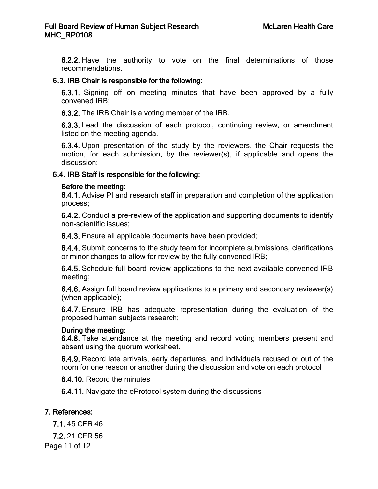6.2.2. Have the authority to vote on the final determinations of those recommendations.

### 6.3. IRB Chair is responsible for the following:

6.3.1. Signing off on meeting minutes that have been approved by a fully convened IRB;

6.3.2. The IRB Chair is a voting member of the IRB.

6.3.3. Lead the discussion of each protocol, continuing review, or amendment listed on the meeting agenda.

6.3.4. Upon presentation of the study by the reviewers, the Chair requests the motion, for each submission, by the reviewer(s), if applicable and opens the discussion;

### 6.4. IRB Staff is responsible for the following:

#### Before the meeting:

6.4.1. Advise PI and research staff in preparation and completion of the application process;

6.4.2. Conduct a pre-review of the application and supporting documents to identify non-scientific issues;

6.4.3. Ensure all applicable documents have been provided;

6.4.4. Submit concerns to the study team for incomplete submissions, clarifications or minor changes to allow for review by the fully convened IRB;

6.4.5. Schedule full board review applications to the next available convened IRB meeting;

6.4.6. Assign full board review applications to a primary and secondary reviewer(s) (when applicable);

6.4.7. Ensure IRB has adequate representation during the evaluation of the proposed human subjects research;

# During the meeting:

6.4.8. Take attendance at the meeting and record voting members present and absent using the quorum worksheet.

6.4.9. Record late arrivals, early departures, and individuals recused or out of the room for one reason or another during the discussion and vote on each protocol

6.4.10. Record the minutes

6.4.11. Navigate the eProtocol system during the discussions

# 7. References:

7.1. 45 CFR 46

7.2. 21 CFR 56

Page 11 of 12